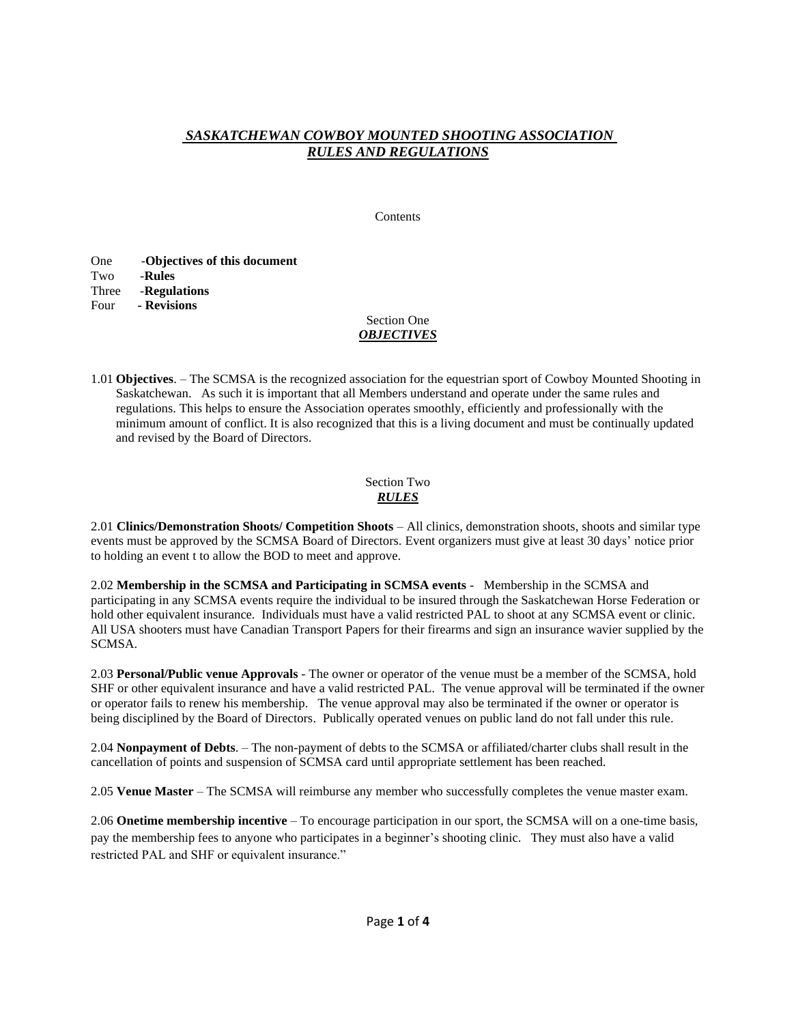# *SASKATCHEWAN COWBOY MOUNTED SHOOTING ASSOCIATION RULES AND REGULATIONS*

Contents

| One   | -Objectives of this document |
|-------|------------------------------|
| Two   | -Rules                       |
| Three | -Regulations                 |
| Four  | - Revisions                  |

### Section One *OBJECTIVES*

1.01 **Objectives**. – The SCMSA is the recognized association for the equestrian sport of Cowboy Mounted Shooting in Saskatchewan. As such it is important that all Members understand and operate under the same rules and regulations. This helps to ensure the Association operates smoothly, efficiently and professionally with the minimum amount of conflict. It is also recognized that this is a living document and must be continually updated and revised by the Board of Directors.

## Section Two *RULES*

2.01 **Clinics/Demonstration Shoots/ Competition Shoots** – All clinics, demonstration shoots, shoots and similar type events must be approved by the SCMSA Board of Directors. Event organizers must give at least 30 days' notice prior to holding an event t to allow the BOD to meet and approve.

2.02 **Membership in the SCMSA and Participating in SCMSA events** - Membership in the SCMSA and participating in any SCMSA events require the individual to be insured through the Saskatchewan Horse Federation or hold other equivalent insurance. Individuals must have a valid restricted PAL to shoot at any SCMSA event or clinic. All USA shooters must have Canadian Transport Papers for their firearms and sign an insurance wavier supplied by the SCMSA.

2.03 **Personal/Public venue Approvals** - The owner or operator of the venue must be a member of the SCMSA, hold SHF or other equivalent insurance and have a valid restricted PAL. The venue approval will be terminated if the owner or operator fails to renew his membership. The venue approval may also be terminated if the owner or operator is being disciplined by the Board of Directors. Publically operated venues on public land do not fall under this rule.

2.04 **Nonpayment of Debts**. – The non-payment of debts to the SCMSA or affiliated/charter clubs shall result in the cancellation of points and suspension of SCMSA card until appropriate settlement has been reached.

2.05 **Venue Master** – The SCMSA will reimburse any member who successfully completes the venue master exam.

2.06 **Onetime membership incentive** – To encourage participation in our sport, the SCMSA will on a one-time basis, pay the membership fees to anyone who participates in a beginner's shooting clinic. They must also have a valid restricted PAL and SHF or equivalent insurance."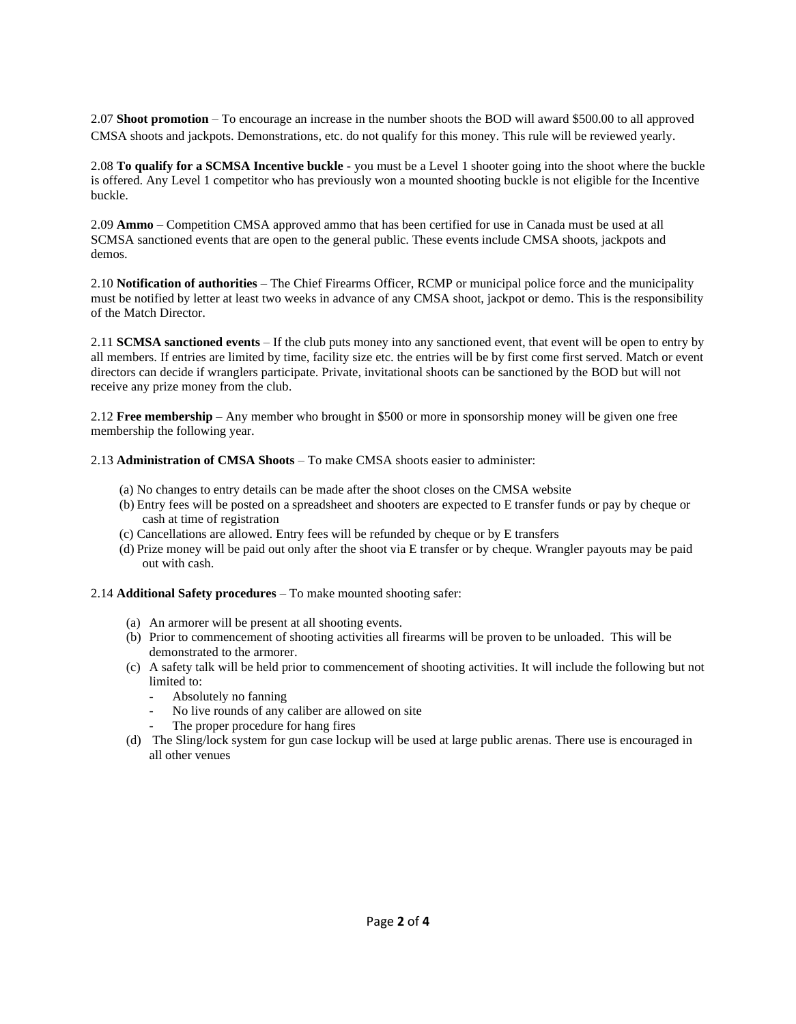2.07 **Shoot promotion** – To encourage an increase in the number shoots the BOD will award \$500.00 to all approved CMSA shoots and jackpots. Demonstrations, etc. do not qualify for this money. This rule will be reviewed yearly.

2.08 **To qualify for a SCMSA Incentive buckle -** you must be a Level 1 shooter going into the shoot where the buckle is offered. Any Level 1 competitor who has previously won a mounted shooting buckle is not eligible for the Incentive buckle.

2.09 **Ammo** – Competition CMSA approved ammo that has been certified for use in Canada must be used at all SCMSA sanctioned events that are open to the general public. These events include CMSA shoots, jackpots and demos.

2.10 **Notification of authorities** – The Chief Firearms Officer, RCMP or municipal police force and the municipality must be notified by letter at least two weeks in advance of any CMSA shoot, jackpot or demo. This is the responsibility of the Match Director.

2.11 **SCMSA sanctioned events** – If the club puts money into any sanctioned event, that event will be open to entry by all members. If entries are limited by time, facility size etc. the entries will be by first come first served. Match or event directors can decide if wranglers participate. Private, invitational shoots can be sanctioned by the BOD but will not receive any prize money from the club.

2.12 **Free membership** – Any member who brought in \$500 or more in sponsorship money will be given one free membership the following year.

2.13 **Administration of CMSA Shoots** – To make CMSA shoots easier to administer:

- (a) No changes to entry details can be made after the shoot closes on the CMSA website
- (b) Entry fees will be posted on a spreadsheet and shooters are expected to E transfer funds or pay by cheque or cash at time of registration
- (c) Cancellations are allowed. Entry fees will be refunded by cheque or by E transfers
- (d) Prize money will be paid out only after the shoot via E transfer or by cheque. Wrangler payouts may be paid out with cash.

2.14 **Additional Safety procedures** – To make mounted shooting safer:

- (a) An armorer will be present at all shooting events.
- (b) Prior to commencement of shooting activities all firearms will be proven to be unloaded. This will be demonstrated to the armorer.
- (c) A safety talk will be held prior to commencement of shooting activities. It will include the following but not limited to:
	- Absolutely no fanning
	- No live rounds of any caliber are allowed on site
	- The proper procedure for hang fires
- (d) The Sling/lock system for gun case lockup will be used at large public arenas. There use is encouraged in all other venues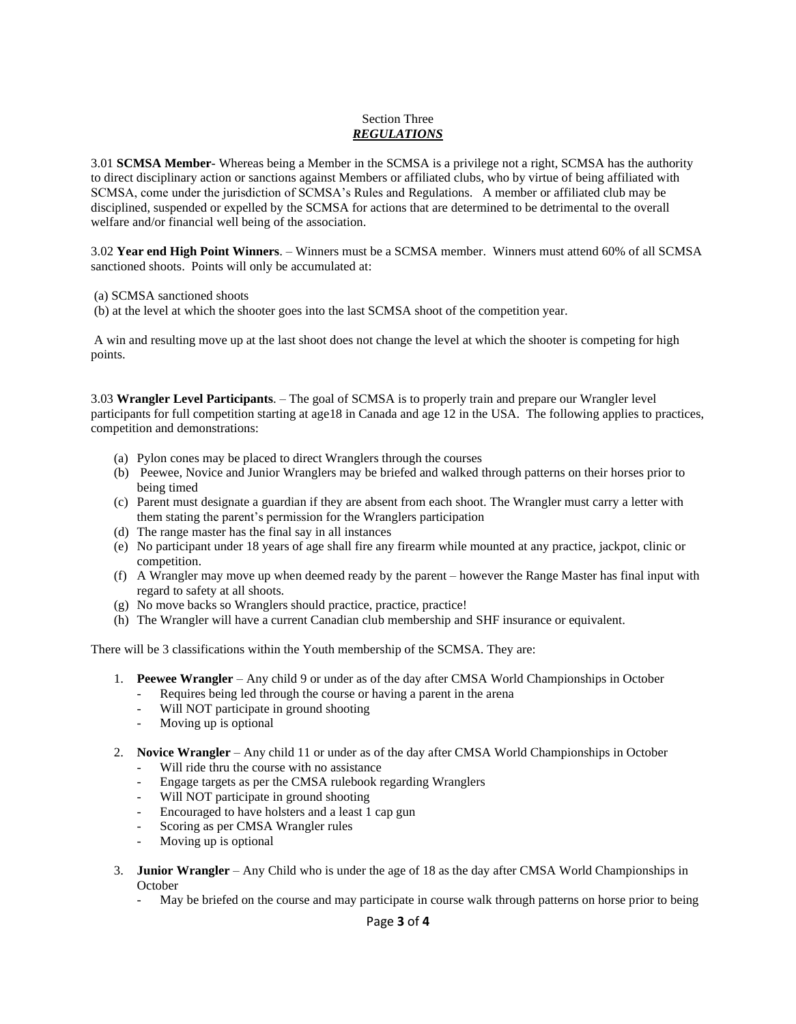### Section Three *REGULATIONS*

3.01 **SCMSA Member**- Whereas being a Member in the SCMSA is a privilege not a right, SCMSA has the authority to direct disciplinary action or sanctions against Members or affiliated clubs, who by virtue of being affiliated with SCMSA, come under the jurisdiction of SCMSA's Rules and Regulations. A member or affiliated club may be disciplined, suspended or expelled by the SCMSA for actions that are determined to be detrimental to the overall welfare and/or financial well being of the association.

3.02 **Year end High Point Winners**. – Winners must be a SCMSA member. Winners must attend 60% of all SCMSA sanctioned shoots. Points will only be accumulated at:

(a) SCMSA sanctioned shoots

(b) at the level at which the shooter goes into the last SCMSA shoot of the competition year.

A win and resulting move up at the last shoot does not change the level at which the shooter is competing for high points.

3.03 **Wrangler Level Participants**. – The goal of SCMSA is to properly train and prepare our Wrangler level participants for full competition starting at age18 in Canada and age 12 in the USA. The following applies to practices, competition and demonstrations:

- (a) Pylon cones may be placed to direct Wranglers through the courses
- (b) Peewee, Novice and Junior Wranglers may be briefed and walked through patterns on their horses prior to being timed
- (c) Parent must designate a guardian if they are absent from each shoot. The Wrangler must carry a letter with them stating the parent's permission for the Wranglers participation
- (d) The range master has the final say in all instances
- (e) No participant under 18 years of age shall fire any firearm while mounted at any practice, jackpot, clinic or competition.
- (f) A Wrangler may move up when deemed ready by the parent however the Range Master has final input with regard to safety at all shoots.
- (g) No move backs so Wranglers should practice, practice, practice!
- (h) The Wrangler will have a current Canadian club membership and SHF insurance or equivalent.

There will be 3 classifications within the Youth membership of the SCMSA. They are:

- 1. **Peewee Wrangler** Any child 9 or under as of the day after CMSA World Championships in October
	- Requires being led through the course or having a parent in the arena
	- Will NOT participate in ground shooting
	- Moving up is optional
- 2. **Novice Wrangler** Any child 11 or under as of the day after CMSA World Championships in October
	- Will ride thru the course with no assistance
	- Engage targets as per the CMSA rulebook regarding Wranglers
	- Will NOT participate in ground shooting
	- Encouraged to have holsters and a least 1 cap gun
	- Scoring as per CMSA Wrangler rules
	- Moving up is optional
- 3. **Junior Wrangler** Any Child who is under the age of 18 as the day after CMSA World Championships in October
	- May be briefed on the course and may participate in course walk through patterns on horse prior to being